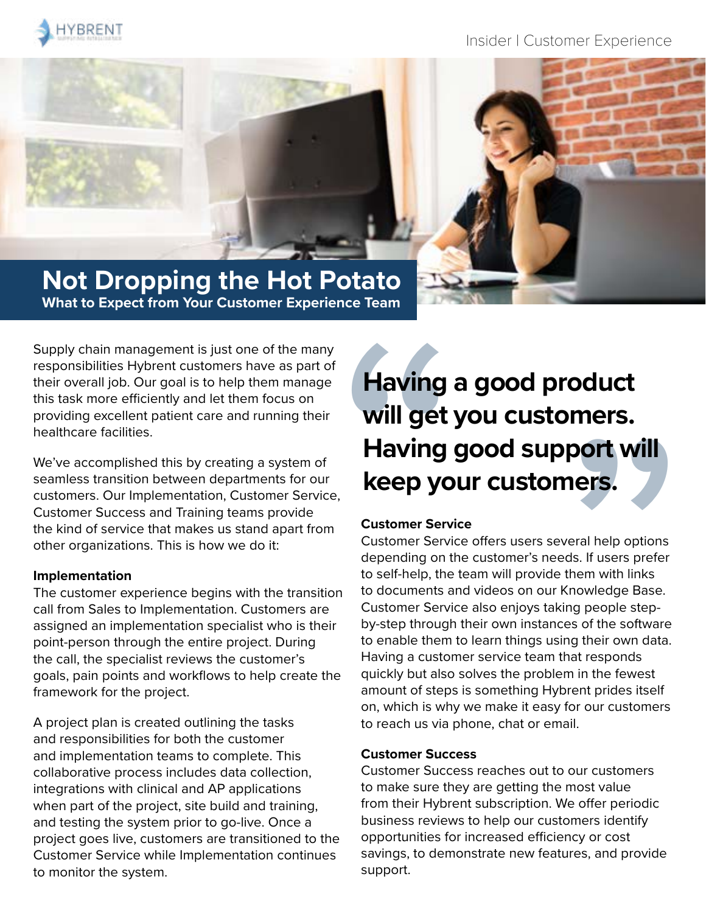

Insider | Customer Experience

## **Not Dropping the Hot Potato What to Expect from Your Customer Experience Team**

Supply chain management is just one of the many responsibilities Hybrent customers have as part of their overall job. Our goal is to help them manage this task more efficiently and let them focus on providing excellent patient care and running their healthcare facilities.

We've accomplished this by creating a system of seamless transition between departments for our customers. Our Implementation, Customer Service, Customer Success and Training teams provide the kind of service that makes us stand apart from other organizations. This is how we do it:

#### **Implementation**

The customer experience begins with the transition call from Sales to Implementation. Customers are assigned an implementation specialist who is their point-person through the entire project. During the call, the specialist reviews the customer's goals, pain points and workflows to help create the framework for the project.

A project plan is created outlining the tasks and responsibilities for both the customer and implementation teams to complete. This collaborative process includes data collection, integrations with clinical and AP applications when part of the project, site build and training, and testing the system prior to go-live. Once a project goes live, customers are transitioned to the Customer Service while Implementation continues to monitor the system.

# **Having and Will get !<br>
Having !<br>
Keep yo<br>
Customer Service<br>
Customer Service<br>
Customer Service<br>
to self-help, the<br>
to documents and Customer Service Having a good product will get you customers. Having good support will keep your customers.**

#### **Customer Service**

Customer Service offers users several help options depending on the customer's needs. If users prefer to self-help, the team will provide them with links to documents and videos on our Knowledge Base. Customer Service also enjoys taking people stepby-step through their own instances of the software to enable them to learn things using their own data. Having a customer service team that responds quickly but also solves the problem in the fewest amount of steps is something Hybrent prides itself on, which is why we make it easy for our customers to reach us via phone, chat or email. **port will**<br>**ners.**<br>weral help options<br>ds. If users prefer<br>them with links<br>Knowledge Base.<br>ing people step-<br>es of the software<br>ng their own data.<br>hat responds<br>m in the fewest<br>prent prides itself<br>for our customers

#### **Customer Success**

Customer Success reaches out to our customers to make sure they are getting the most value from their Hybrent subscription. We offer periodic business reviews to help our customers identify opportunities for increased efficiency or cost savings, to demonstrate new features, and provide support.